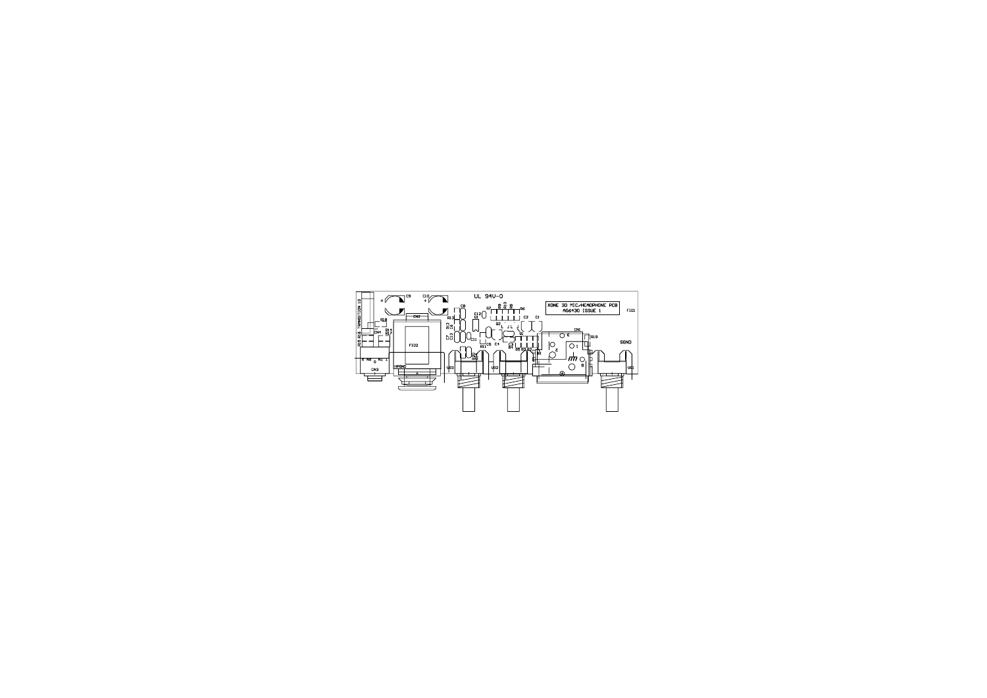